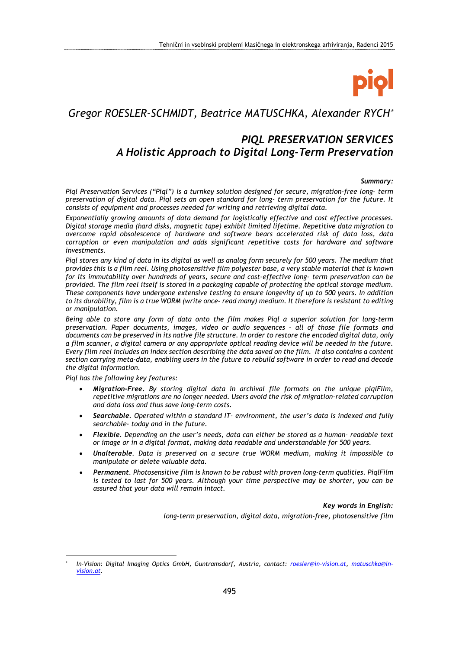

# *Gregor ROESLER-SCHMIDT, Beatrice MATUSCHKA, Alexander RYCH*

# *PIQL PRESERVATION SERVICES A Holistic Approach to Digital Long-Term Preservation*

#### *Summary:*

*Piql Preservation Services ("Piql") is a turnkey solution designed for secure, migration-free long- term preservation of digital data. Piql sets an open standard for long- term preservation for the future. It consists of equipment and processes needed for writing and retrieving digital data.* 

*Exponentially growing amounts of data demand for logistically effective and cost effective processes. Digital storage media (hard disks, magnetic tape) exhibit limited lifetime. Repetitive data migration to overcome rapid obsolescence of hardware and software bears accelerated risk of data loss, data corruption or even manipulation and adds significant repetitive costs for hardware and software investments.* 

*Piql stores any kind of data in its digital as well as analog form securely for 500 years. The medium that provides this is a film reel. Using photosensitive film polyester base, a very stable material that is known for its immutability over hundreds of years, secure and cost-effective long- term preservation can be provided. The film reel itself is stored in a packaging capable of protecting the optical storage medium. These components have undergone extensive testing to ensure longevity of up to 500 years. In addition to its durability, film is a true WORM (write once- read many) medium. It therefore is resistant to editing or manipulation.* 

*Being able to store any form of data onto the film makes Piql a superior solution for long-term preservation. Paper documents, images, video or audio sequences – all of those file formats and documents can be preserved in its native file structure. In order to restore the encoded digital data, only a film scanner, a digital camera or any appropriate optical reading device will be needed in the future. Every film reel includes an index section describing the data saved on the film. It also contains a content section carrying meta-data, enabling users in the future to rebuild software in order to read and decode the digital information.* 

*Piql has the following key features:* 

1

- *Migration-Free. By storing digital data in archival file formats on the unique piqlFilm, repetitive migrations are no longer needed. Users avoid the risk of migration-related corruption and data loss and thus save long-term costs.*
- *Searchable. Operated within a standard IT- environment, the user's data is indexed and fully searchable- today and in the future.*
- *Flexible. Depending on the user's needs, data can either be stored as a human- readable text or image or in a digital format, making data readable and understandable for 500 years.*
- *Unalterable. Data is preserved on a secure true WORM medium, making it impossible to manipulate or delete valuable data.*
- *Permanent. Photosensitive film is known to be robust with proven long-term qualities. PiqlFilm is tested to last for 500 years. Although your time perspective may be shorter, you can be assured that your data will remain intact.*

*Key words in English:* 

*long-term preservation, digital data, migration-free, photosensitive film* 

<sup>\*</sup>  *In-Vision: Digital Imaging Optics GmbH, Guntramsdorf, Austria, contact: roesler@in-vision.at, matuschka@invision.at.*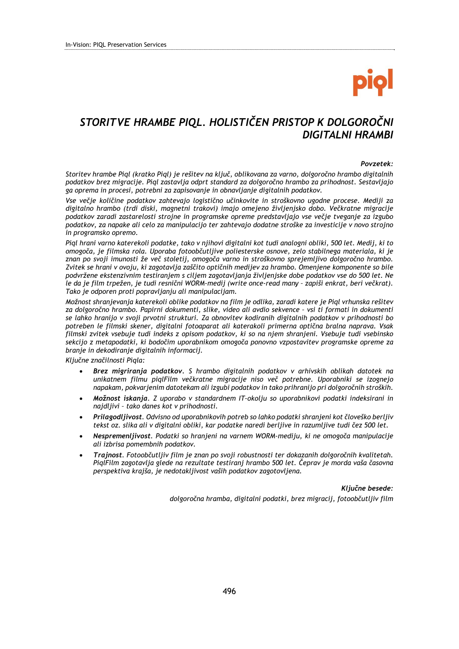# *STORITVE HRAMBE PIQL. HOLISTIČEN PRISTOP K DOLGOROČNI DIGITALNI HRAMBI*

#### *Povzetek:*

*Storitev hrambe Piql (kratko Piql) je rešitev na ključ, oblikovana za varno, dolgoročno hrambo digitalnih podatkov brez migracije. Piql zastavlja odprt standard za dolgoročno hrambo za prihodnost. Sestavljajo ga oprema in procesi, potrebni za zapisovanje in obnavljanje digitalnih podatkov.* 

*Vse večje količine podatkov zahtevajo logistično učinkovite in stroškovno ugodne procese. Mediji za digitalno hrambo (trdi diski, magnetni trakovi) imajo omejeno življenjsko dobo. Večkratne migracije podatkov zaradi zastarelosti strojne in programske opreme predstavljajo vse večje tveganje za izgubo podatkov, za napake ali celo za manipulacijo ter zahtevajo dodatne stroške za investicije v novo strojno in programsko opremo.* 

*Piql hrani varno katerekoli podatke, tako v njihovi digitalni kot tudi analogni obliki, 500 let. Medij, ki to omogoča, je filmska rola. Uporaba fotoobčutljive poliesterske osnove, zelo stabilnega materiala, ki je znan po svoji imunosti že več stoletij, omogoča varno in stroškovno sprejemljivo dolgoročno hrambo. Zvitek se hrani v ovoju, ki zagotavlja zaščito optičnih medijev za hrambo. Omenjene komponente so bile podvržene ekstenzivnim testiranjem s ciljem zagotavljanja življenjske dobe podatkov vse do 500 let. Ne le da je film trpežen, je tudi resnični WORM-medij (write once-read many – zapiši enkrat, beri večkrat). Tako je odporen proti popravljanju ali manipulacijam.* 

*Možnost shranjevanja katerekoli oblike podatkov na film je odlika, zaradi katere je Piql vrhunska rešitev za dolgoročno hrambo. Papirni dokumenti, slike, video ali avdio sekvence – vsi ti formati in dokumenti se lahko hranijo v svoji prvotni strukturi. Za obnovitev kodiranih digitalnih podatkov v prihodnosti bo potreben le filmski skener, digitalni fotoaparat ali katerakoli primerna optična bralna naprava. Vsak filmski zvitek vsebuje tudi indeks z opisom podatkov, ki so na njem shranjeni. Vsebuje tudi vsebinsko sekcijo z metapodatki, ki bodočim uporabnikom omogoča ponovno vzpostavitev programske opreme za branje in dekodiranje digitalnih informacij.* 

*Ključne značilnosti Piqla:* 

- *Brez migriranja podatkov. S hrambo digitalnih podatkov v arhivskih oblikah datotek na unikatnem filmu piqlFilm večkratne migracije niso več potrebne. Uporabniki se izognejo napakam, pokvarjenim datotekam ali izgubi podatkov in tako prihranijo pri dolgoročnih stroških.*
- *Možnost iskanja. Z uporabo v standardnem IT-okolju so uporabnikovi podatki indeksirani in najdljivi – tako danes kot v prihodnosti.*
- *Prilagodljivost. Odvisno od uporabnikovih potreb so lahko podatki shranjeni kot človeško berljiv tekst oz. slika ali v digitalni obliki, kar podatke naredi berljive in razumljive tudi čez 500 let.*
- *Nespremenljivost. Podatki so hranjeni na varnem WORM-mediju, ki ne omogoča manipulacije ali izbrisa pomembnih podatkov.*
- *Trajnost. Fotoobčutljiv film je znan po svoji robustnosti ter dokazanih dolgoročnih kvalitetah. PiqlFilm zagotavlja glede na rezultate testiranj hrambo 500 let. Čeprav je morda vaša časovna perspektiva krajša, je nedotakljivost vaših podatkov zagotovljena.*

#### *Ključne besede:*

*dolgoročna hramba, digitalni podatki, brez migracij, fotoobčutljiv film*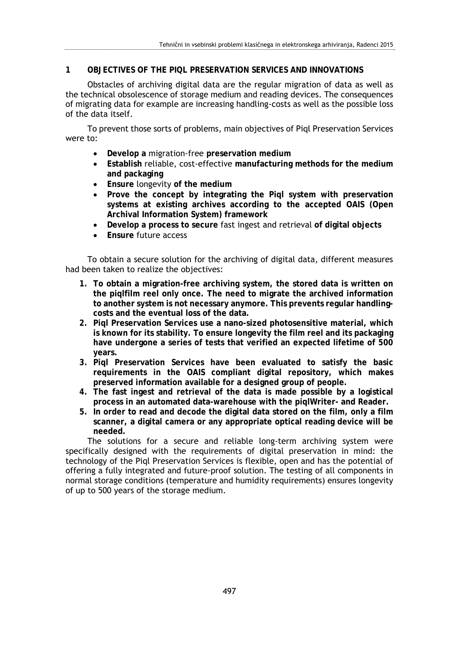## **1 OBJECTIVES OF THE PIQL PRESERVATION SERVICES AND INNOVATIONS**

Obstacles of archiving digital data are the regular migration of data as well as the technical obsolescence of storage medium and reading devices. The consequences of migrating data for example are increasing handling-costs as well as the possible loss of the data itself.

To prevent those sorts of problems, main objectives of Piql Preservation Services were to:

- **Develop a** migration-free **preservation medium**
- **Establish** reliable, cost-effective **manufacturing methods for the medium and packaging**
- **Ensure** longevity **of the medium**
- **Prove the concept by integrating the Piql system with preservation systems at existing archives according to the accepted OAIS (Open Archival Information System) framework**
- **Develop a process to secure** fast ingest and retrieval **of digital objects**
- **Ensure** future access

To obtain a secure solution for the archiving of digital data, different measures had been taken to realize the objectives:

- **1. To obtain a migration-free archiving system, the stored data is written on the piqlfilm reel only once. The need to migrate the archived information to another system is not necessary anymore. This prevents regular handlingcosts and the eventual loss of the data.**
- **2. Piql Preservation Services use a nano-sized photosensitive material, which is known for its stability. To ensure longevity the film reel and its packaging have undergone a series of tests that verified an expected lifetime of 500 years.**
- **3. Piql Preservation Services have been evaluated to satisfy the basic requirements in the OAIS compliant digital repository, which makes preserved information available for a designed group of people.**
- **4. The fast ingest and retrieval of the data is made possible by a logistical process in an automated data-warehouse with the piqlWriter- and Reader.**
- **5. In order to read and decode the digital data stored on the film, only a film scanner, a digital camera or any appropriate optical reading device will be needed.**

The solutions for a secure and reliable long-term archiving system were specifically designed with the requirements of digital preservation in mind: the technology of the Piql Preservation Services is flexible, open and has the potential of offering a fully integrated and future-proof solution. The testing of all components in normal storage conditions (temperature and humidity requirements) ensures longevity of up to 500 years of the storage medium.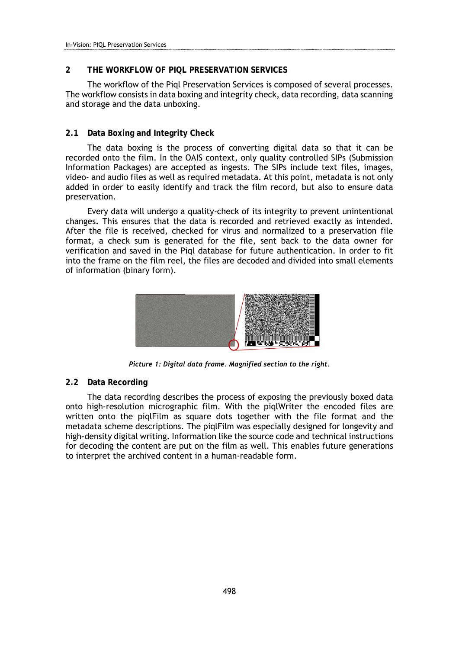## **2 THE WORKFLOW OF PIQL PRESERVATION SERVICES**

The workflow of the Piql Preservation Services is composed of several processes. The workflow consists in data boxing and integrity check, data recording, data scanning and storage and the data unboxing.

#### **2.1 Data Boxing and Integrity Check**

The data boxing is the process of converting digital data so that it can be recorded onto the film. In the OAIS context, only quality controlled SIPs (Submission Information Packages) are accepted as ingests. The SIPs include text files, images, video- and audio files as well as required metadata. At this point, metadata is not only added in order to easily identify and track the film record, but also to ensure data preservation.

Every data will undergo a quality-check of its integrity to prevent unintentional changes. This ensures that the data is recorded and retrieved exactly as intended. After the file is received, checked for virus and normalized to a preservation file format, a check sum is generated for the file, sent back to the data owner for verification and saved in the Piql database for future authentication. In order to fit into the frame on the film reel, the files are decoded and divided into small elements of information (binary form).



*Picture 1: Digital data frame. Magnified section to the right.* 

#### **2.2 Data Recording**

The data recording describes the process of exposing the previously boxed data onto high-resolution micrographic film. With the piqlWriter the encoded files are written onto the piqlFilm as square dots together with the file format and the metadata scheme descriptions. The piqlFilm was especially designed for longevity and high-density digital writing. Information like the source code and technical instructions for decoding the content are put on the film as well. This enables future generations to interpret the archived content in a human-readable form.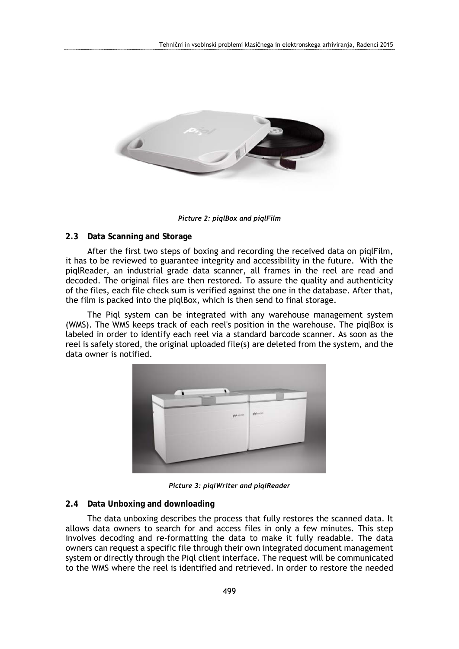

*Picture 2: piqlBox and piqlFilm* 

## **2.3 Data Scanning and Storage**

After the first two steps of boxing and recording the received data on piqlFilm, it has to be reviewed to guarantee integrity and accessibility in the future. With the piqlReader, an industrial grade data scanner, all frames in the reel are read and decoded. The original files are then restored. To assure the quality and authenticity of the files, each file check sum is verified against the one in the database. After that, the film is packed into the piqlBox, which is then send to final storage.

The Piql system can be integrated with any warehouse management system (WMS). The WMS keeps track of each reel's position in the warehouse. The piqlBox is labeled in order to identify each reel via a standard barcode scanner. As soon as the reel is safely stored, the original uploaded file(s) are deleted from the system, and the data owner is notified.



*Picture 3: piqlWriter and piqlReader* 

### **2.4 Data Unboxing and downloading**

The data unboxing describes the process that fully restores the scanned data. It allows data owners to search for and access files in only a few minutes. This step involves decoding and re-formatting the data to make it fully readable. The data owners can request a specific file through their own integrated document management system or directly through the Piql client interface. The request will be communicated to the WMS where the reel is identified and retrieved. In order to restore the needed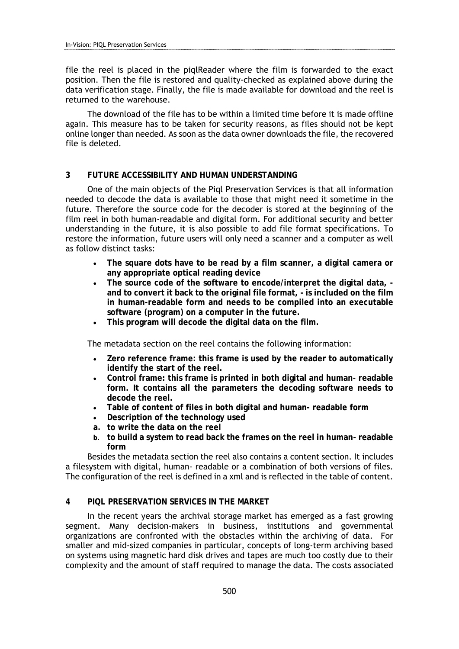file the reel is placed in the piqlReader where the film is forwarded to the exact position. Then the file is restored and quality-checked as explained above during the data verification stage. Finally, the file is made available for download and the reel is returned to the warehouse.

The download of the file has to be within a limited time before it is made offline again. This measure has to be taken for security reasons, as files should not be kept online longer than needed. As soon as the data owner downloads the file, the recovered file is deleted.

#### **3 FUTURE ACCESSIBILITY AND HUMAN UNDERSTANDING**

One of the main objects of the Piql Preservation Services is that all information needed to decode the data is available to those that might need it sometime in the future. Therefore the source code for the decoder is stored at the beginning of the film reel in both human-readable and digital form. For additional security and better understanding in the future, it is also possible to add file format specifications. To restore the information, future users will only need a scanner and a computer as well as follow distinct tasks:

- **The square dots have to be read by a film scanner, a digital camera or any appropriate optical reading device**
- **The source code of the software to encode/interpret the digital data, and to convert it back to the original file format, - is included on the film in human-readable form and needs to be compiled into an executable software (program) on a computer in the future.**
- **This program will decode the digital data on the film.**

The metadata section on the reel contains the following information:

- **Zero reference frame: this frame is used by the reader to automatically identify the start of the reel.**
- **Control frame: this frame is printed in both digital and human- readable form. It contains all the parameters the decoding software needs to decode the reel.**
- **Table of content of files in both digital and human- readable form**
- **Description of the technology used**
- **a. to write the data on the reel**
- **b. to build a system to read back the frames on the reel in human- readable form**

Besides the metadata section the reel also contains a content section. It includes a filesystem with digital, human- readable or a combination of both versions of files. The configuration of the reel is defined in a xml and is reflected in the table of content.

#### **4 PIQL PRESERVATION SERVICES IN THE MARKET**

In the recent years the archival storage market has emerged as a fast growing segment. Many decision-makers in business, institutions and governmental organizations are confronted with the obstacles within the archiving of data. For smaller and mid-sized companies in particular, concepts of long-term archiving based on systems using magnetic hard disk drives and tapes are much too costly due to their complexity and the amount of staff required to manage the data. The costs associated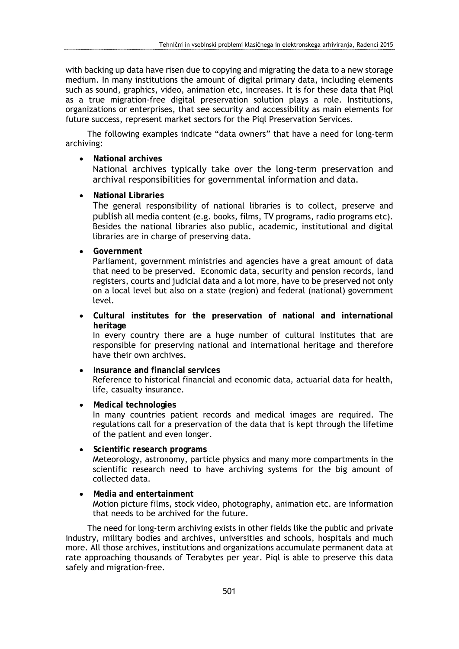with backing up data have risen due to copying and migrating the data to a new storage medium. In many institutions the amount of digital primary data, including elements such as sound, graphics, video, animation etc, increases. It is for these data that Piql as a true migration-free digital preservation solution plays a role. Institutions, organizations or enterprises, that see security and accessibility as main elements for future success, represent market sectors for the Piql Preservation Services.

The following examples indicate "data owners" that have a need for long-term archiving:

**National archives** 

National archives typically take over the long-term preservation and archival responsibilities for governmental information and data.

**National Libraries** 

The general responsibility of national libraries is to collect, preserve and publish all media content (e.g. books, films, TV programs, radio programs etc). Besides the national libraries also public, academic, institutional and digital libraries are in charge of preserving data.

**Government** 

Parliament, government ministries and agencies have a great amount of data that need to be preserved. Economic data, security and pension records, land registers, courts and judicial data and a lot more, have to be preserved not only on a local level but also on a state (region) and federal (national) government level.

 **Cultural institutes for the preservation of national and international heritage**  In every country there are a huge number of cultural institutes that are

responsible for preserving national and international heritage and therefore have their own archives.

- **Insurance and financial services** Reference to historical financial and economic data, actuarial data for health, life, casualty insurance.
- **Medical technologies** In many countries patient records and medical images are required. The regulations call for a preservation of the data that is kept through the lifetime of the patient and even longer.
- **Scientific research programs**  Meteorology, astronomy, particle physics and many more compartments in the scientific research need to have archiving systems for the big amount of collected data.
- **Media and entertainment**  Motion picture films, stock video, photography, animation etc. are information that needs to be archived for the future.

The need for long-term archiving exists in other fields like the public and private industry, military bodies and archives, universities and schools, hospitals and much more. All those archives, institutions and organizations accumulate permanent data at rate approaching thousands of Terabytes per year. Piql is able to preserve this data safely and migration-free.